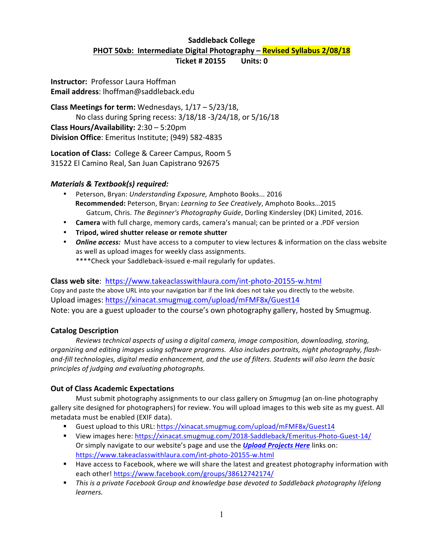# **Saddleback College PHOT 50xb:** Intermediate Digital Photography – **Revised Syllabus 2/08/18**

**Ticket # 20155 Units: 0** 

**Instructor:** Professor Laura Hoffman **Email address**: lhoffman@saddleback.edu

**Class Meetings for term:** Wednesdays,  $1/17 - 5/23/18$ , No class during Spring recess:  $3/18/18 - 3/24/18$ , or  $5/16/18$ **Class Hours/Availability:** 2:30 – 5:20pm **Division Office**: Emeritus Institute; (949) 582-4835

Location of Class: College & Career Campus, Room 5 31522 El Camino Real, San Juan Capistrano 92675

#### *Materials & Textbook(s) required:*

- Peterson, Bryan: Understanding Exposure, Amphoto Books... 2016 **Recommended:** Peterson, Bryan: *Learning to See Creatively*, Amphoto Books...2015 Gatcum, Chris. The Beginner's Photography Guide, Dorling Kindersley (DK) Limited, 2016.
- **Camera** with full charge, memory cards, camera's manual; can be printed or a .PDF version
- **Tripod, wired shutter release or remote shutter**
- **Online access:** Must have access to a computer to view lectures & information on the class website as well as upload images for weekly class assignments. \*\*\*\*Check your Saddleback-issued e-mail regularly for updates.

**Class web site**: https://www.takeaclasswithlaura.com/int-photo-20155-w.html Copy and paste the above URL into your navigation bar if the link does not take you directly to the website. Upload images: https://xinacat.smugmug.com/upload/mFMF8x/Guest14 Note: you are a guest uploader to the course's own photography gallery, hosted by Smugmug.

#### **Catalog Description**

Reviews technical aspects of using a digital camera, image composition, downloading, storing, organizing and editing images using software programs. Also includes portraits, night photography, flashand-fill technologies, digital media enhancement, and the use of filters. Students will also learn the basic principles of judging and evaluating photographs.

#### **Out of Class Academic Expectations**

Must submit photography assignments to our class gallery on *Smugmug* (an on-line photography gallery site designed for photographers) for review. You will upload images to this web site as my guest. All metadata must be enabled (EXIF data).

- Guest upload to this URL: https://xinacat.smugmug.com/upload/mFMF8x/Guest14
- View images here: https://xinacat.smugmug.com/2018-Saddleback/Emeritus-Photo-Guest-14/ Or simply navigate to our website's page and use the **Upload Projects Here** links on: https://www.takeaclasswithlaura.com/int-photo-20155-w.html
- Have access to Facebook, where we will share the latest and greatest photography information with each other! https://www.facebook.com/groups/38612742174/
- **•** This is a private Facebook Group and knowledge base devoted to Saddleback photography lifelong *learners.*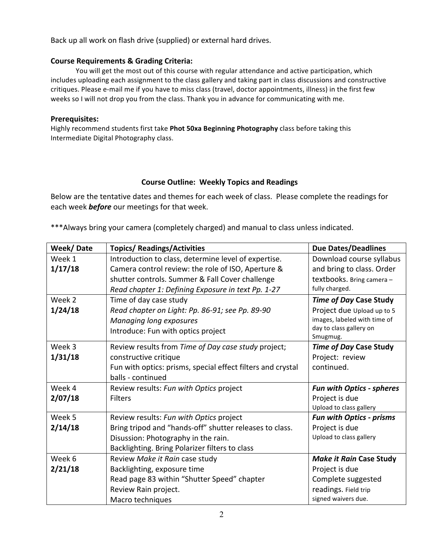Back up all work on flash drive (supplied) or external hard drives.

#### **Course Requirements & Grading Criteria:**

You will get the most out of this course with regular attendance and active participation, which includes uploading each assignment to the class gallery and taking part in class discussions and constructive critiques. Please e-mail me if you have to miss class (travel, doctor appointments, illness) in the first few weeks so I will not drop you from the class. Thank you in advance for communicating with me.

#### **Prerequisites:**

Highly recommend students first take Phot 50xa Beginning Photography class before taking this Intermediate Digital Photography class.

## **Course Outline: Weekly Topics and Readings**

Below are the tentative dates and themes for each week of class. Please complete the readings for each week **before** our meetings for that week.

\*\*\*Always bring your camera (completely charged) and manual to class unless indicated.

| Week/Date | <b>Topics/ Readings/Activities</b>                          | <b>Due Dates/Deadlines</b>       |
|-----------|-------------------------------------------------------------|----------------------------------|
| Week 1    | Introduction to class, determine level of expertise.        | Download course syllabus         |
| 1/17/18   | Camera control review: the role of ISO, Aperture &          | and bring to class. Order        |
|           | shutter controls. Summer & Fall Cover challenge             | textbooks. Bring camera -        |
|           | Read chapter 1: Defining Exposure in text Pp. 1-27          | fully charged.                   |
| Week 2    | Time of day case study                                      | <b>Time of Day Case Study</b>    |
| 1/24/18   | Read chapter on Light: Pp. 86-91; see Pp. 89-90             | Project due Upload up to 5       |
|           | Managing long exposures                                     | images, labeled with time of     |
|           | Introduce: Fun with optics project                          | day to class gallery on          |
|           |                                                             | Smugmug.                         |
| Week 3    | Review results from Time of Day case study project;         | <b>Time of Day Case Study</b>    |
| 1/31/18   | constructive critique                                       | Project: review                  |
|           | Fun with optics: prisms, special effect filters and crystal | continued.                       |
|           | balls - continued                                           |                                  |
| Week 4    | Review results: Fun with Optics project                     | <b>Fun with Optics - spheres</b> |
| 2/07/18   | <b>Filters</b>                                              | Project is due                   |
|           |                                                             | Upload to class gallery          |
| Week 5    | Review results: Fun with Optics project                     | <b>Fun with Optics - prisms</b>  |
| 2/14/18   | Bring tripod and "hands-off" shutter releases to class.     | Project is due                   |
|           | Disussion: Photography in the rain.                         | Upload to class gallery          |
|           | Backlighting. Bring Polarizer filters to class              |                                  |
| Week 6    | Review Make it Rain case study                              | <b>Make it Rain Case Study</b>   |
| 2/21/18   | Backlighting, exposure time                                 | Project is due                   |
|           | Read page 83 within "Shutter Speed" chapter                 | Complete suggested               |
|           | Review Rain project.                                        | readings. Field trip             |
|           | Macro techniques                                            | signed waivers due.              |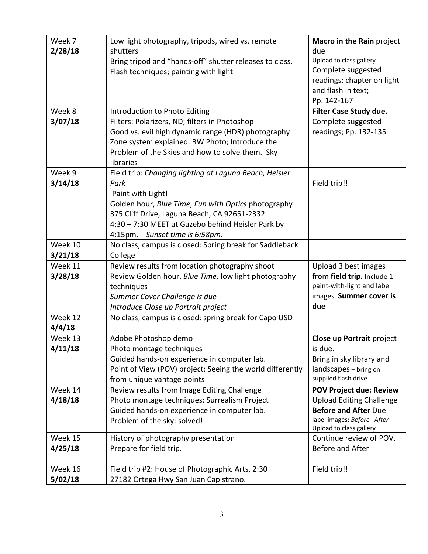| Week 7  | Low light photography, tripods, wired vs. remote          | Macro in the Rain project                                   |
|---------|-----------------------------------------------------------|-------------------------------------------------------------|
| 2/28/18 | shutters                                                  | due                                                         |
|         |                                                           | Upload to class gallery                                     |
|         | Bring tripod and "hands-off" shutter releases to class.   | Complete suggested                                          |
|         | Flash techniques; painting with light                     | readings: chapter on light                                  |
|         |                                                           | and flash in text;                                          |
|         |                                                           | Pp. 142-167                                                 |
| Week 8  | Introduction to Photo Editing                             | Filter Case Study due.                                      |
|         |                                                           |                                                             |
| 3/07/18 | Filters: Polarizers, ND; filters in Photoshop             | Complete suggested                                          |
|         | Good vs. evil high dynamic range (HDR) photography        | readings; Pp. 132-135                                       |
|         | Zone system explained. BW Photo; Introduce the            |                                                             |
|         | Problem of the Skies and how to solve them. Sky           |                                                             |
| Week 9  | libraries                                                 |                                                             |
|         | Field trip: Changing lighting at Laguna Beach, Heisler    |                                                             |
| 3/14/18 | Park                                                      | Field trip!!                                                |
|         | Paint with Light!                                         |                                                             |
|         | Golden hour, Blue Time, Fun with Optics photography       |                                                             |
|         | 375 Cliff Drive, Laguna Beach, CA 92651-2332              |                                                             |
|         | 4:30 - 7:30 MEET at Gazebo behind Heisler Park by         |                                                             |
|         | 4:15pm. Sunset time is 6:58pm.                            |                                                             |
| Week 10 | No class; campus is closed: Spring break for Saddleback   |                                                             |
| 3/21/18 | College                                                   |                                                             |
| Week 11 | Review results from location photography shoot            | Upload 3 best images                                        |
| 3/28/18 | Review Golden hour, Blue Time, low light photography      | from field trip. Include 1                                  |
|         | techniques                                                | paint-with-light and label                                  |
|         | Summer Cover Challenge is due                             | images. Summer cover is<br>due                              |
|         | Introduce Close up Portrait project                       |                                                             |
| Week 12 | No class; campus is closed: spring break for Capo USD     |                                                             |
| 4/4/18  |                                                           |                                                             |
| Week 13 | Adobe Photoshop demo                                      | Close up Portrait project                                   |
| 4/11/18 | Photo montage techniques                                  | is due.                                                     |
|         | Guided hands-on experience in computer lab.               | Bring in sky library and                                    |
|         | Point of View (POV) project: Seeing the world differently | landscapes - bring on<br>supplied flash drive.              |
|         | from unique vantage points                                |                                                             |
| Week 14 | Review results from Image Editing Challenge               | <b>POV Project due: Review</b>                              |
| 4/18/18 | Photo montage techniques: Surrealism Project              | <b>Upload Editing Challenge</b>                             |
|         | Guided hands-on experience in computer lab.               | <b>Before and After Due -</b><br>label images: Before After |
|         | Problem of the sky: solved!                               | Upload to class gallery                                     |
| Week 15 | History of photography presentation                       | Continue review of POV,                                     |
| 4/25/18 | Prepare for field trip.                                   | Before and After                                            |
|         |                                                           |                                                             |
| Week 16 | Field trip #2: House of Photographic Arts, 2:30           | Field trip!!                                                |
| 5/02/18 | 27182 Ortega Hwy San Juan Capistrano.                     |                                                             |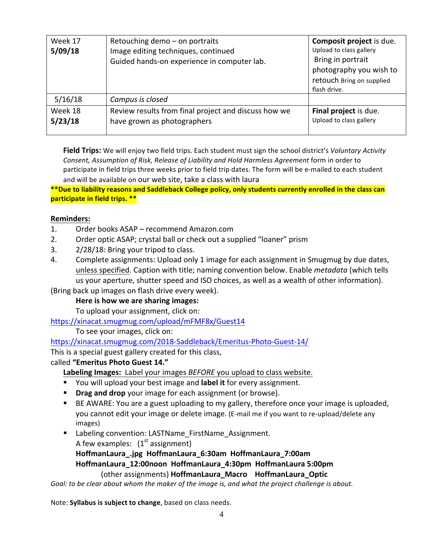| Week 17<br>5/09/18 | Retouching demo - on portraits<br>Image editing techniques, continued<br>Guided hands-on experience in computer lab. | Composit project is due.<br>Upload to class gallery<br>Bring in portrait<br>photography you wish to<br>retouch Bring on supplied<br>flash drive. |
|--------------------|----------------------------------------------------------------------------------------------------------------------|--------------------------------------------------------------------------------------------------------------------------------------------------|
| 5/16/18            | Campus is closed                                                                                                     |                                                                                                                                                  |
| Week 18<br>5/23/18 | Review results from final project and discuss how we<br>have grown as photographers                                  | Final project is due.<br>Upload to class gallery                                                                                                 |

**Field Trips:** We will enjoy two field trips. Each student must sign the school district's *Voluntary Activity Consent, Assumption of Risk, Release of Liability and Hold Harmless Agreement form in order to* participate in field trips three weeks prior to field trip dates. The form will be e-mailed to each student and will be available on our web site, take a class with laura

\*\*Due to liability reasons and Saddleback College policy, only students currently enrolled in the class can **participate in field trips. \*\*** 

#### **Reminders:**

- 1. Order books ASAP recommend Amazon.com
- 2. Order optic ASAP; crystal ball or check out a supplied "loaner" prism
- 3.  $2/28/18$ : Bring your tripod to class.
- 4. Complete assignments: Upload only 1 image for each assignment in Smugmug by due dates, unless specified. Caption with title; naming convention below. Enable *metadata* (which tells us your aperture, shutter speed and ISO choices, as well as a wealth of other information).

(Bring back up images on flash drive every week).

#### Here is how we are sharing images:

To upload your assignment, click on:

https://xinacat.smugmug.com/upload/mFMF8x/Guest14

To see your images, click on:

https://xinacat.smugmug.com/2018-Saddleback/Emeritus-Photo-Guest-14/

This is a special guest gallery created for this class,

#### called "Emeritus Photo Guest 14."

Labeling Images: Label your images *BEFORE* you upload to class website.

- You will upload your best image and **label it** for every assignment.
- **Drag and drop** your image for each assignment (or browse).
- BE AWARE: You are a guest uploading to my gallery, therefore once your image is uploaded, you cannot edit your image or delete image. (E-mail me if you want to re-upload/delete any images)
- Labeling convention: LASTName FirstName Assignment. A few examples:  $(1<sup>st</sup>$  assignment)

**HoffmanLaura\_.jpg HoffmanLaura\_6:30am HoffmanLaura\_7:00am HoffmanLaura\_12:00noon HoffmanLaura\_4:30pm HoffmanLaura 5:00pm** (other assignments) **HoffmanLaura Macro HoffmanLaura Optic** 

Goal: to be clear about whom the maker of the image is, and what the project challenge is about.

Note: Syllabus is subject to change, based on class needs.